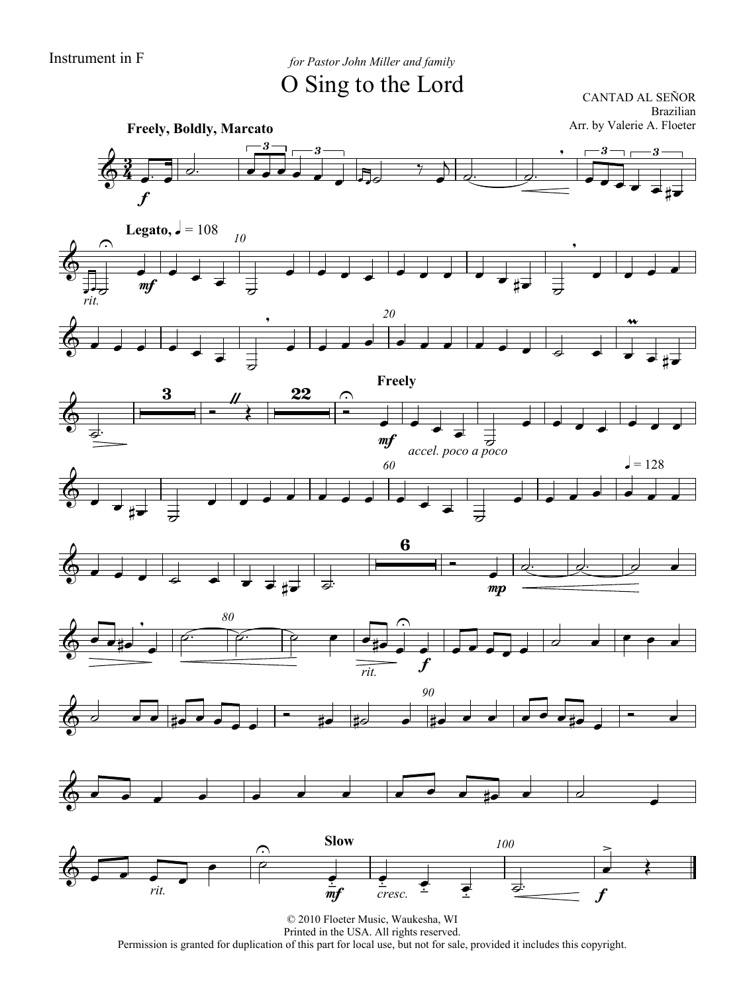Instrument in F *for Pastor John Miller and family* O Sing to the Lord

CANTAD AL SEÑOR Brazilian Arr. by Valerie A. Floeter

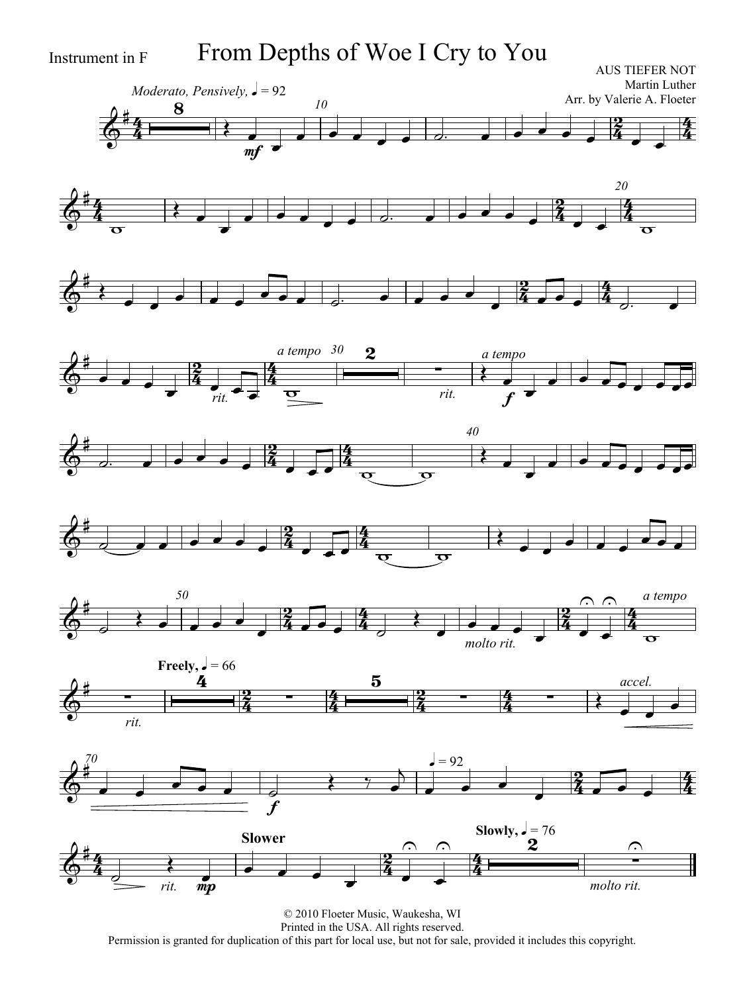Instrument in F From Depths of Woe I Cry to You

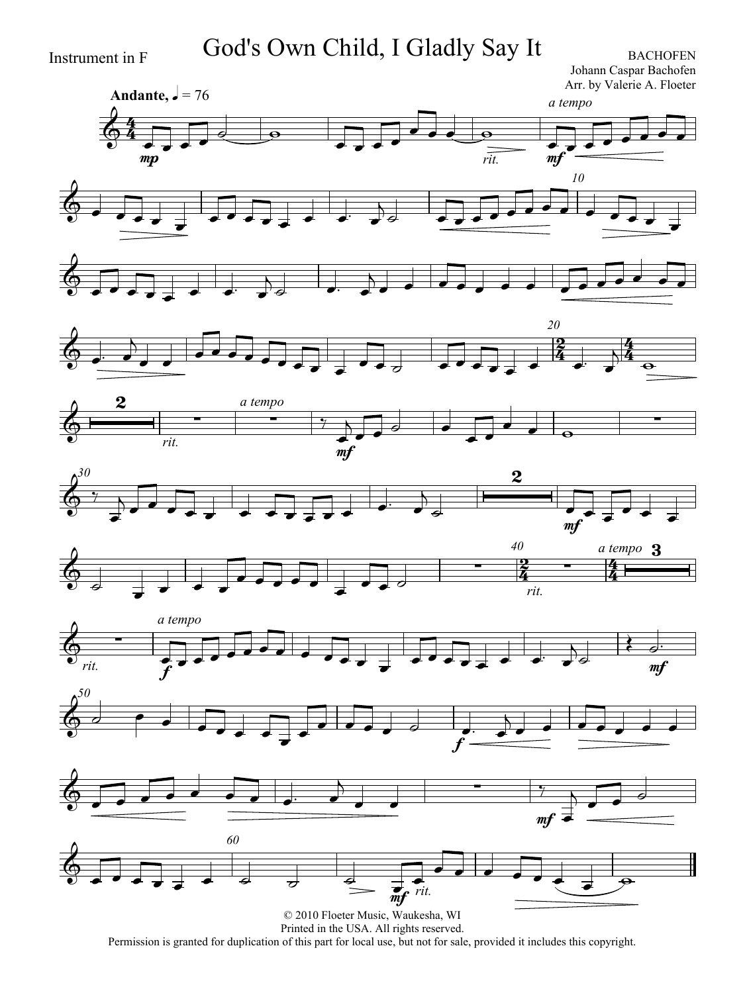Instrument in F God's Own Child, I Gladly Say It BACHOFEN

Johann Caspar Bachofen Arr. by Valerie A. Floeter

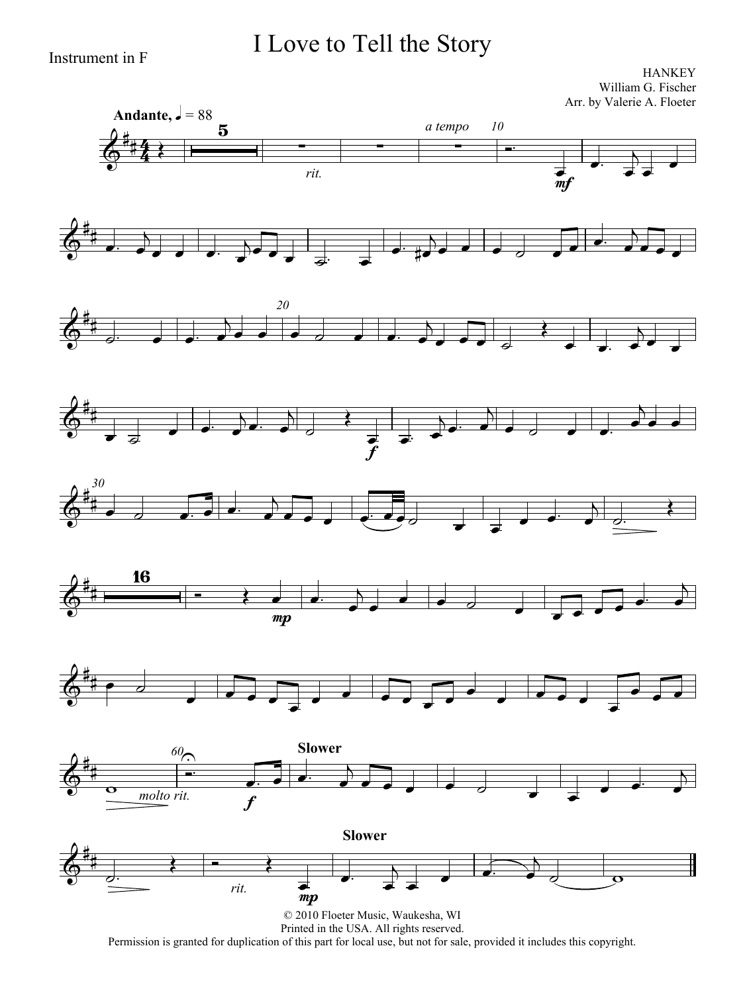### I Love to Tell the Story

Instrument in F

**HANKEY** William G. Fischer Arr. by Valerie A. Floeter



Permission is granted for duplication of this part for local use, but not for sale, provided it includes this copyright.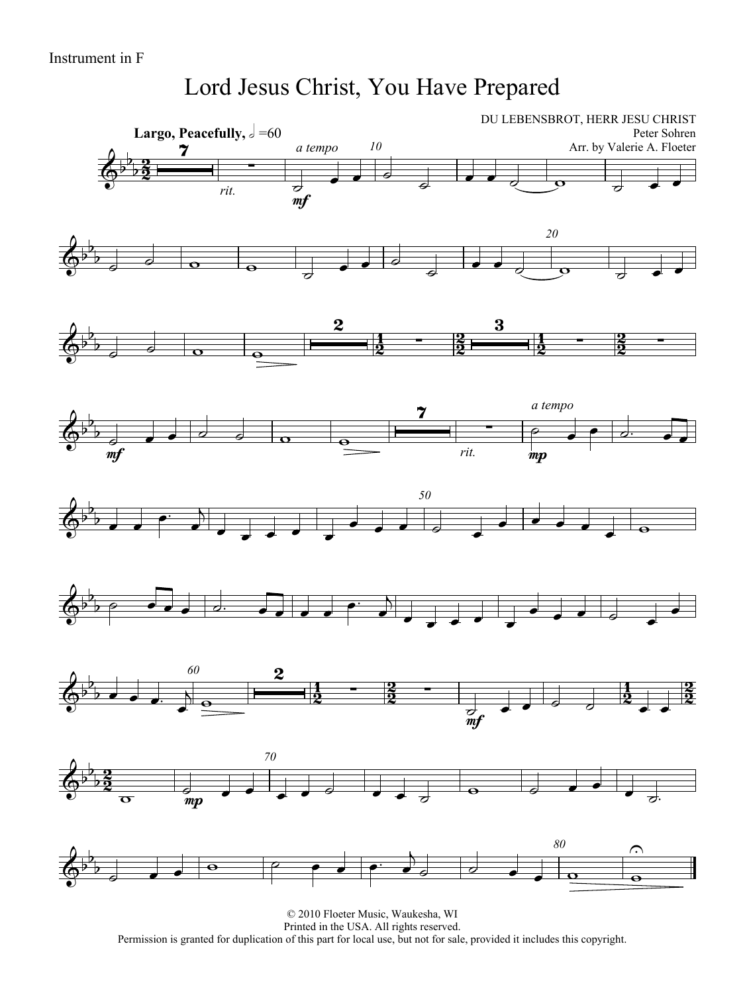### Lord Jesus Christ, You Have Prepared

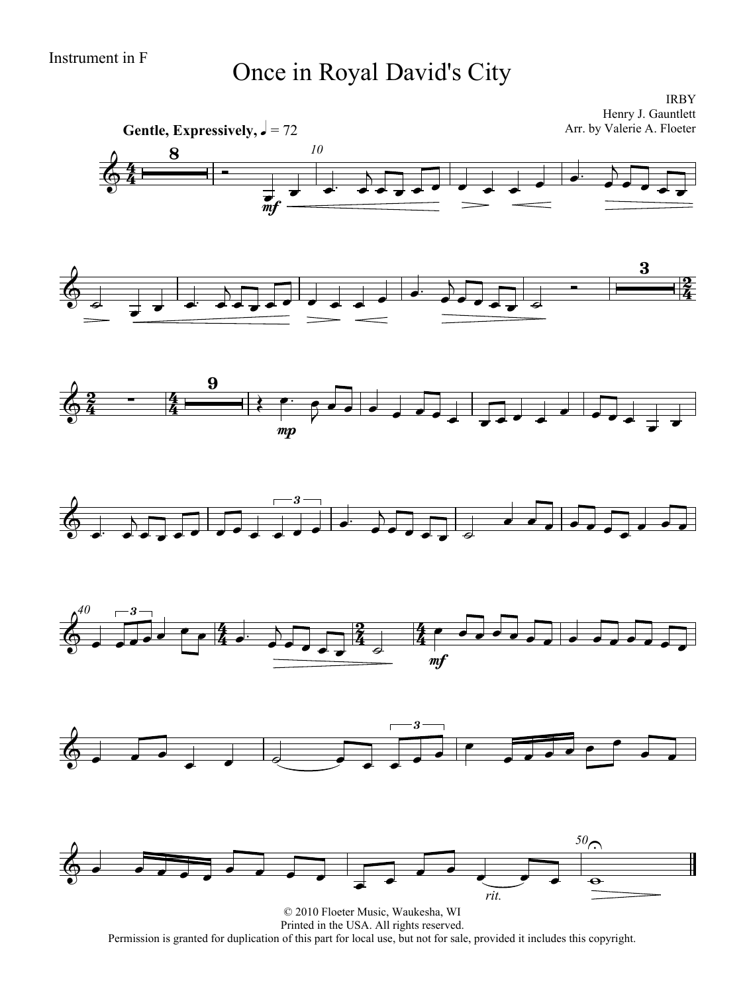# Instrument in F<br>
Once in Royal David's City

IRBY Henry J. Gauntlett Arr. by Valerie A. Floeter



© 2010 Floeter Music, Waukesha, WI Printed in the USA. All rights reserved. Permission is granted for duplication of this part for local use, but not for sale, provided it includes this copyright.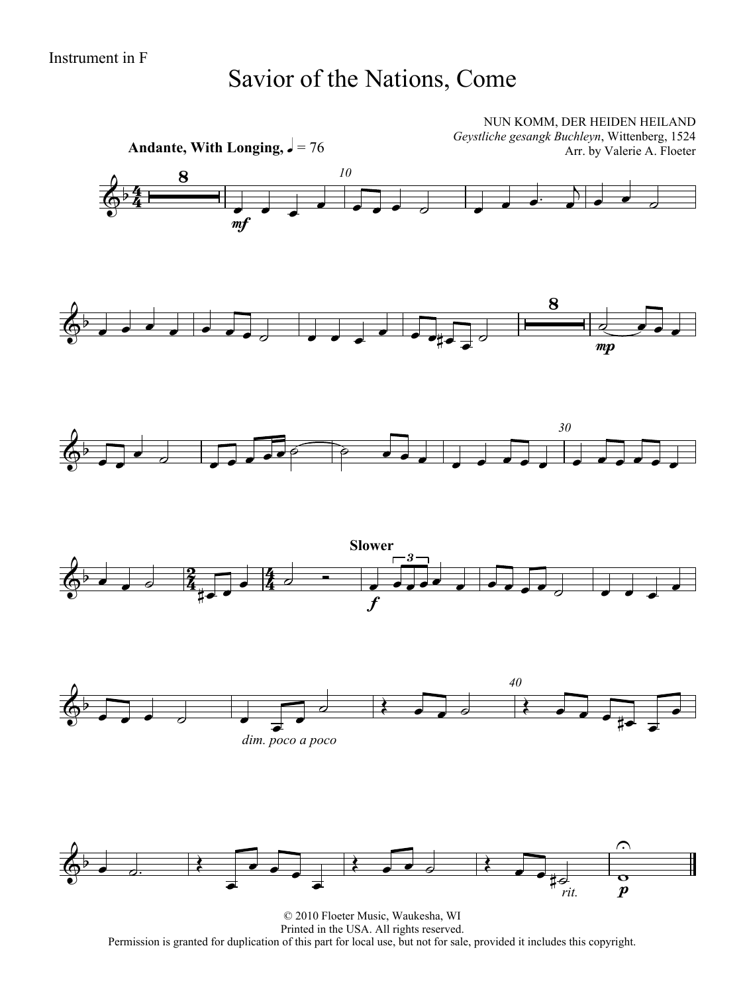### Savior of the Nations, Come



© 2010 Floeter Music, Waukesha, WI Printed in the USA. All rights reserved. Permission is granted for duplication of this part for local use, but not for sale, provided it includes this copyright.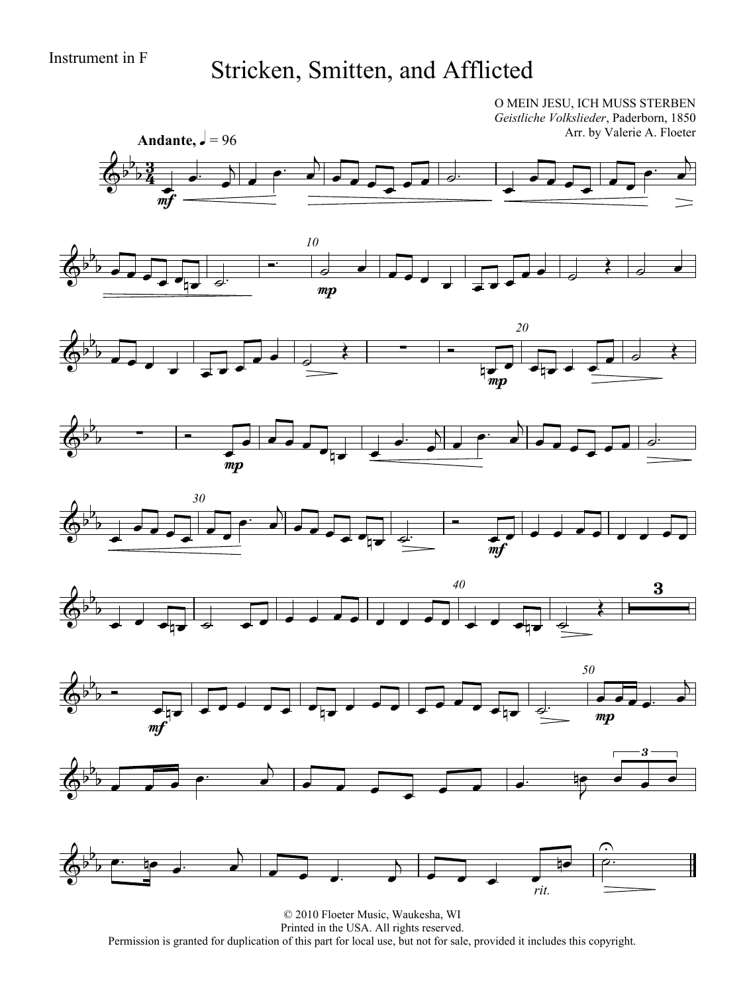## Instrument in F<br>Stricken, Smitten, and Afflicted

O MEIN JESU, ICH MUSS STERBEN *Geistliche Volkslieder*, Paderborn, 1850 Arr. by Valerie A. Floeter

















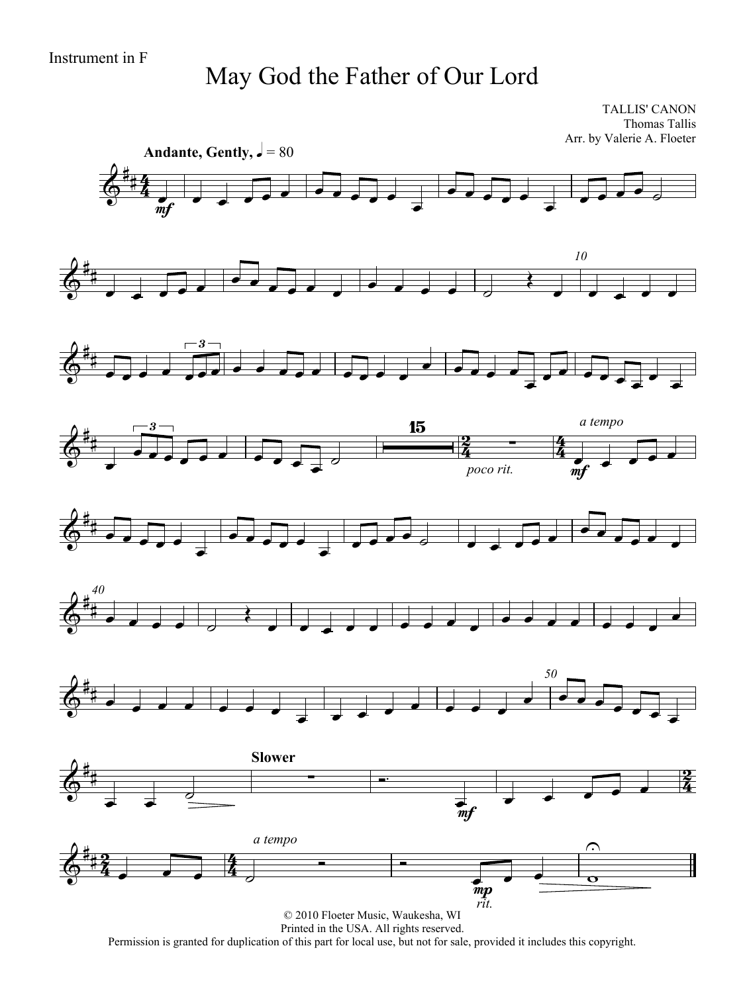### May God the Father of Our Lord

TALLIS' CANON Thomas Tallis Arr. by Valerie A. Floeter



Printed in the USA. All rights reserved.

Permission is granted for duplication of this part for local use, but not for sale, provided it includes this copyright.